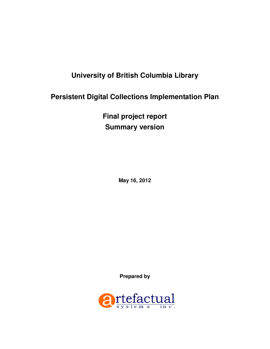# **University of British Columbia Library**

# **Persistent Digital Collections Implementation Plan**

**Final project report Summary version** 

**May 16, 2012** 

**Prepared by** 

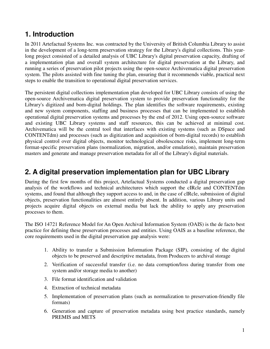# **1. Introduction**

In 2011 Artefactual Systems Inc. was contracted by the University of British Columbia Library to assist in the development of a long-term preservation strategy for the Library's digital collections. This yearlong project consisted of a detailed analysis of UBC Library's digital preservation capacity, drafting of a implementation plan and overall system architecture for digital preservation at the Library, and running a series of preservation pilot projects using the open-source Archivematica digital preservation system. The pilots assisted with fine tuning the plan, ensuring that it recommends viable, practical next steps to enable the transition to operational digital preservation services.

The persistent digital collections implementation plan developed for UBC Library consists of using the open-source Archivematica digital preservation system to provide preservation functionality for the Library's digitized and born-digital holdings. The plan identifies the software requirements, existing and new system components, staffing and business processes that can be implemented to establish operational digital preservation systems and processes by the end of 2012. Using open-source software and existing UBC Library systems and staff resources, this can be achieved at minimal cost. Archivematica will be the central tool that interfaces with existing systems (such as DSpace and CONTENTdm) and processes (such as digitization and acquisition of born-digital records) to establish physical control over digital objects, monitor technological obsolescence risks, implement long-term format-specific preservation plans (normalization, migration, and/or emulation), maintain preservation masters and generate and manage preservation metadata for all of the Library's digital materials.

## **2. A digital preservation implementation plan for UBC Library**

During the first few months of this project, Artefactual Systems conducted a digital preservation gap analysis of the workflows and technical architectures which support the cIRcle and CONTENTdm systems, and found that although they support access to and, in the case of cIRcle, submission of digital objects, preservation functionalities are almost entirely absent. In addition, various Library units and projects acquire digital objects on external media but lack the ability to apply any preservation processes to them.

The ISO 14721 Reference Model for An Open Archival Information System (OAIS) is the de facto best practice for defining these preservation processes and entities. Using OAIS as a baseline reference, the core requirements used in the digital preservation gap analysis were:

- 1. Ability to transfer a Submission Information Package (SIP), consisting of the digital objects to be preserved and descriptive metadata, from Producers to archival storage
- 2. Verification of successful transfer (i.e. no data corruption/loss during transfer from one system and/or storage media to another)
- 3. File format identification and validation
- 4. Extraction of technical metadata
- 5. Implementation of preservation plans (such as normalization to preservation-friendly file formats)
- 6. Generation and capture of preservation metadata using best practice standards, namely PREMIS and METS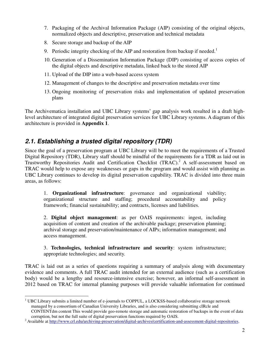- 7. Packaging of the Archival Information Package (AIP) consisting of the original objects, normalized objects and descriptive, preservation and technical metadata
- 8. Secure storage and backup of the AIP
- 9. Periodic integrity checking of the AIP and restoration from backup if needed.<sup>1</sup>
- 10. Generation of a Dissemination Information Package (DIP) consisting of access copies of the digital objects and descriptive metadata, linked back to the stored AIP
- 11. Upload of the DIP into a web-based access system
- 12. Management of changes to the descriptive and preservation metadata over time
- 13. Ongoing monitoring of preservation risks and implementation of updated preservation plans

The Archivematica installation and UBC Library systems' gap analysis work resulted in a draft highlevel architecture of integrated digital preservation services for UBC Library systems. A diagram of this architecture is provided in **Appendix 1**.

#### **2.1. Establishing a trusted digital repository (TDR)**

Since the goal of a preservation program at UBC Library will be to meet the requirements of a Trusted Digital Repository (TDR), Library staff should be mindful of the requirements for a TDR as laid out in Trustworthy Repositories Audit and Certification Checklist (TRAC).<sup>2</sup> A self-assessment based on TRAC would help to expose any weaknesses or gaps in the program and would assist with planning as UBC Library continues to develop its digital preservation capability. TRAC is divided into three main areas, as follows:

1. **Organizational infrastructure**: governance and organizational viability; organizational structure and staffing; procedural accountability and policy framework; financial sustainability; and contracts, licenses and liabilities.

2. **Digital object management**: as per OAIS requirements: ingest, including acquisition of content and creation of the archivable package; preservation planning; archival storage and preservation/maintenance of AIPs; information management; and access management.

3. **Technologies, technical infrastructure and security**: system infrastructure; appropriate technologies; and security.

TRAC is laid out as a series of questions requiring a summary of analysis along with documentary evidence and comments. A full TRAC audit intended for an external audience (such as a certification body) would be a lengthy and resource-intensive exercise; however, an informal self-assessment in 2012 based on TRAC for internal planning purposes will provide valuable information for continued

 $\overline{a}$ <sup>1</sup> UBC Library submits a limited number of e-journals to COPPUL, a LOCKSS-based collaborative storage network managed by a consortium of Canadian University Libraries, and is also considering submitting cIRcle and CONTENTdm content This would provide geo-remote storage and automatic restoration of backups in the event of data corruption, but not the full suite of digital preservation functions required by OAIS.

<sup>&</sup>lt;sup>2</sup> Available at http://www.crl.edu/archiving-preservation/digital-archives/certification-and-assessment-digital-repositories.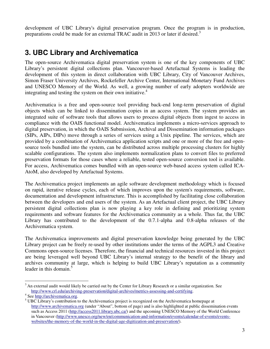development of UBC Library's digital preservation program. Once the program is in production, preparations could be made for an external TRAC audit in 2013 or later if desired.<sup>3</sup>

# **3. UBC Library and Archivematica**

The open-source Archivematica digital preservation system is one of the key components of UBC Library's persistent digital collections plan. Vancouver-based Artefactual Systems is leading the development of this system in direct collaboration with UBC Library, City of Vancouver Archives, Simon Fraser University Archives, Rockefeller Archive Center, International Monetary Fund Archives and UNESCO Memory of the World. As well, a growing number of early adopters worldwide are integrating and testing the system on their own initiative.<sup>4</sup>

Archivematica is a free and open-source tool providing back-end long-term preservation of digital objects which can be linked to dissemination copies in an access system. The system provides an integrated suite of software tools that allows users to process digital objects from ingest to access in compliance with the OAIS functional model. Archivematica implements a micro-services approach to digital preservation, in which the OAIS Submission, Archival and Dissemination information packages (SIPs, AIPs, DIPs) move through a series of services using a Unix pipeline. The services, which are provided by a combination of Archivematica application scripts and one or more of the free and opensource tools bundled into the system, can be distributed across multiple processing clusters for highly scalable configurations. The system also implements normalization plans to convert files to preferred preservation formats for those cases where a reliable, tested open-source conversion tool is available. For access, Archivematica comes bundled with an open-source web-based access system called ICA-AtoM, also developed by Artefactual Systems.

The Archivematica project implements an agile software development methodology which is focused on rapid, iterative release cycles, each of which improves upon the system's requirements, software, documentation and development infrastructure. This is accomplished by facilitating close collaboration between the developers and end users of the system. As an Artefactual client project, the UBC Library persistent digital collections plan is now playing a key role in defining and prioritizing system requirements and software features for the Archivematica community as a whole. Thus far, the UBC Library has contributed to the development of the 0.7.1-alpha and 0.8-alpha releases of the Archivematica system.

The Archivematica improvements and digital preservation knowledge being generated by the UBC Library project can be freely re-used by other institutions under the terms of the AGPL3 and Creative Commons open-source licenses. Therefore, the financial and technical resources invested in this project are being leveraged well beyond UBC Library's internal strategy to the benefit of the library and archives community at large, which is helping to build UBC Library's reputation as a community leader in this domain. $5$ 

 $\overline{a}$  $3$  An external audit would likely be carried out by the Center for Library Research or a similar organization. See http://www.crl.edu/archiving-preservation/digital-archives/metrics-assessing-and-certifying.

<sup>&</sup>lt;sup>4</sup> See http://archivematica.org.

<sup>&</sup>lt;sup>5</sup> UBC Library's contribution to the Archivematica project is recognized on the Archivematica homepage at http://www.archivematica.org (under "About", bottom of page) and is also highlighted at public dissemination events such as Access 2011 (http://access2011.library.ubc.ca/) and the upcoming UNESCO Memory of the World Conference in Vancouver (http://www.unesco.org/new/en/communication-and-information/events/calendar-of-events/eventswebsites/the-memory-of-the-world-in-the-digital-age-digitization-and-preservation/).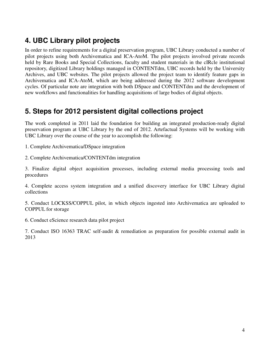## **4. UBC Library pilot projects**

In order to refine requirements for a digital preservation program, UBC Library conducted a number of pilot projects using both Archivematica and ICA-AtoM. The pilot projects involved private records held by Rare Books and Special Collections, faculty and student materials in the cIRcle institutional repository, digitized Library holdings managed in CONTENTdm, UBC records held by the University Archives, and UBC websites. The pilot projects allowed the project team to identify feature gaps in Archivematica and ICA-AtoM, which are being addressed during the 2012 software development cycles. Of particular note are integration with both DSpace and CONTENTdm and the development of new workflows and functionalities for handling acquisitions of large bodies of digital objects.

### **5. Steps for 2012 persistent digital collections project**

The work completed in 2011 laid the foundation for building an integrated production-ready digital preservation program at UBC Library by the end of 2012. Artefactual Systems will be working with UBC Library over the course of the year to accomplish the following:

1. Complete Archivematica/DSpace integration

2. Complete Archivematica/CONTENTdm integration

3. Finalize digital object acquisition processes, including external media processing tools and procedures

4. Complete access system integration and a unified discovery interface for UBC Library digital collections

5. Conduct LOCKSS/COPPUL pilot, in which objects ingested into Archivematica are uploaded to COPPUL for storage

6. Conduct eScience research data pilot project

7. Conduct ISO 16363 TRAC self-audit & remediation as preparation for possible external audit in 2013